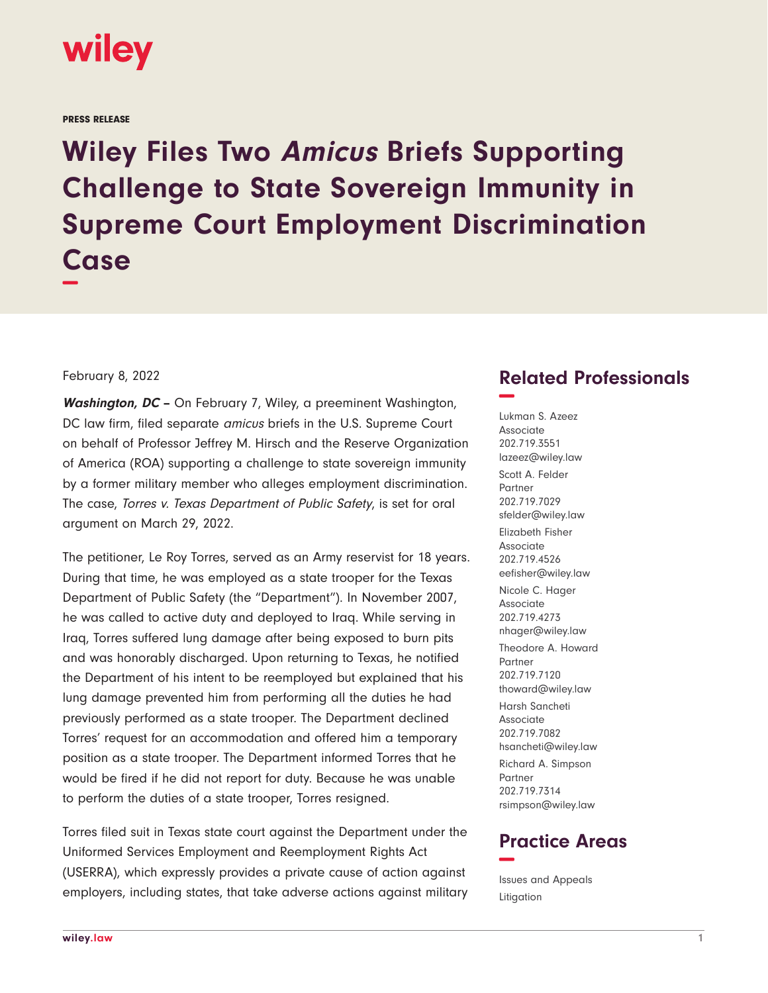

## PRESS RELEASE

**Wiley Files Two Amicus Briefs Supporting Challenge to State Sovereign Immunity in Supreme Court Employment Discrimination Case −**

## February 8, 2022

**Washington, DC –** On February 7, Wiley, a preeminent Washington, DC law firm, filed separate *amicus* briefs in the U.S. Supreme Court on behalf of Professor Jeffrey M. Hirsch and the Reserve Organization of America (ROA) supporting a challenge to state sovereign immunity by a former military member who alleges employment discrimination. The case, Torres v. Texas Department of Public Safety, is set for oral argument on March 29, 2022.

The petitioner, Le Roy Torres, served as an Army reservist for 18 years. During that time, he was employed as a state trooper for the Texas Department of Public Safety (the "Department"). In November 2007, he was called to active duty and deployed to Iraq. While serving in Iraq, Torres suffered lung damage after being exposed to burn pits and was honorably discharged. Upon returning to Texas, he notified the Department of his intent to be reemployed but explained that his lung damage prevented him from performing all the duties he had previously performed as a state trooper. The Department declined Torres' request for an accommodation and offered him a temporary position as a state trooper. The Department informed Torres that he would be fired if he did not report for duty. Because he was unable to perform the duties of a state trooper, Torres resigned.

Torres filed suit in Texas state court against the Department under the Uniformed Services Employment and Reemployment Rights Act (USERRA), which expressly provides a private cause of action against employers, including states, that take adverse actions against military

## **Related Professionals −**

Lukman S. Azeez Associate 202.719.3551 lazeez@wiley.law Scott A. Felder Partner 202.719.7029 sfelder@wiley.law Elizabeth Fisher Associate 202.719.4526 eefisher@wiley.law Nicole C. Hager Associate 202.719.4273 nhager@wiley.law Theodore A. Howard Partner 202.719.7120 thoward@wiley.law Harsh Sancheti Associate 202.719.7082 hsancheti@wiley.law Richard A. Simpson Partner 202.719.7314 rsimpson@wiley.law

## **Practice Areas −**

Issues and Appeals Litigation